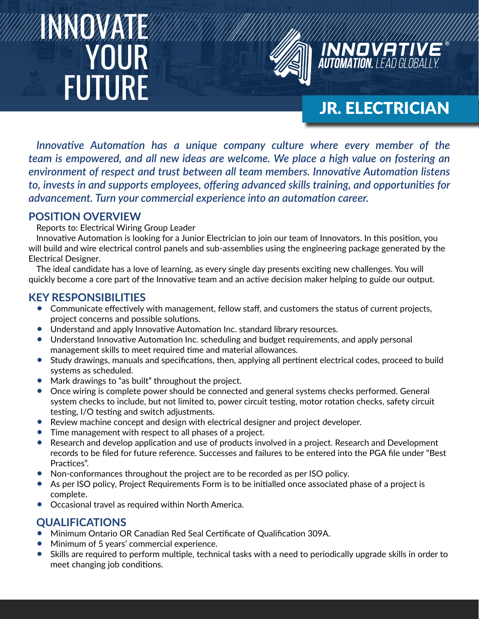# INNOVATE **YOUR FUTURE**



# JR. ELECTRICIAN

*Innovative Automation has a unique company culture where every member of the team is empowered, and all new ideas are welcome. We place a high value on fostering an environment of respect and trust between all team members. Innovative Automation listens to, invests in and supports employees, offering advanced skills training, and opportunities for advancement. Turn your commercial experience into an automation career.*

## **POSITION OVERVIEW**

Reports to: Electrical Wiring Group Leader

Innovative Automation is looking for a Junior Electrician to join our team of Innovators. In this position, you will build and wire electrical control panels and sub-assemblies using the engineering package generated by the Electrical Designer.

The ideal candidate has a love of learning, as every single day presents exciting new challenges. You will quickly become a core part of the Innovative team and an active decision maker helping to guide our output.

# **KEY RESPONSIBILITIES**

- Communicate effectively with management, fellow staff, and customers the status of current projects, project concerns and possible solutions.
- Understand and apply Innovative Automation Inc. standard library resources.
- Understand Innovative Automation Inc. scheduling and budget requirements, and apply personal management skills to meet required time and material allowances.
- Study drawings, manuals and specifications, then, applying all pertinent electrical codes, proceed to build systems as scheduled.
- Mark drawings to "as built" throughout the project.
- Once wiring is complete power should be connected and general systems checks performed. General system checks to include, but not limited to, power circuit testing, motor rotation checks, safety circuit testing, I/O testing and switch adjustments.
- Review machine concept and design with electrical designer and project developer.
- Time management with respect to all phases of a project.
- Research and develop application and use of products involved in a project. Research and Development records to be filed for future reference. Successes and failures to be entered into the PGA file under "Best Practices".
- Non-conformances throughout the project are to be recorded as per ISO policy.
- As per ISO policy, Project Requirements Form is to be initialled once associated phase of a project is complete.
- Occasional travel as required within North America.

## **QUALIFICATIONS**

- Minimum Ontario OR Canadian Red Seal Certificate of Qualification 309A.
- Minimum of 5 years' commercial experience.
- Skills are required to perform multiple, technical tasks with a need to periodically upgrade skills in order to meet changing job conditions.